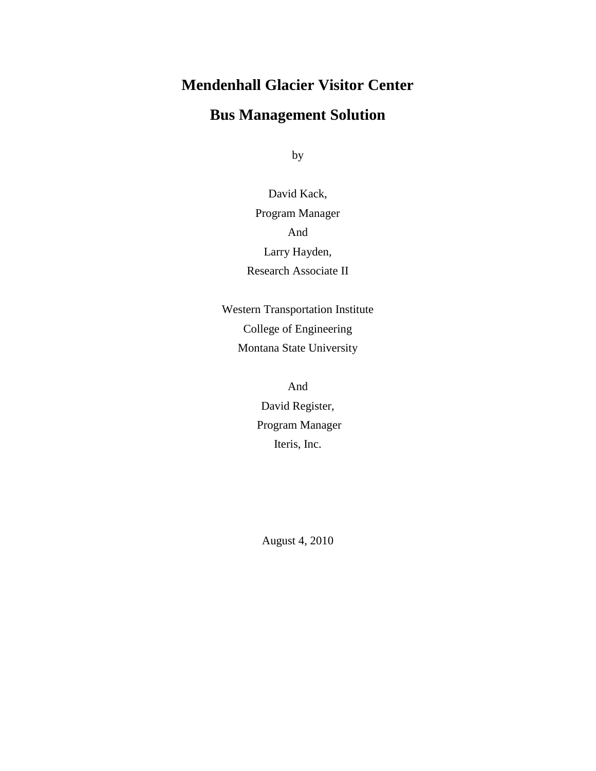# **Mendenhall Glacier Visitor Center**

# **Bus Management Solution**

by

David Kack, Program Manager And Larry Hayden, Research Associate II

Western Transportation Institute College of Engineering Montana State University

> And David Register, Program Manager Iteris, Inc.

August 4, 2010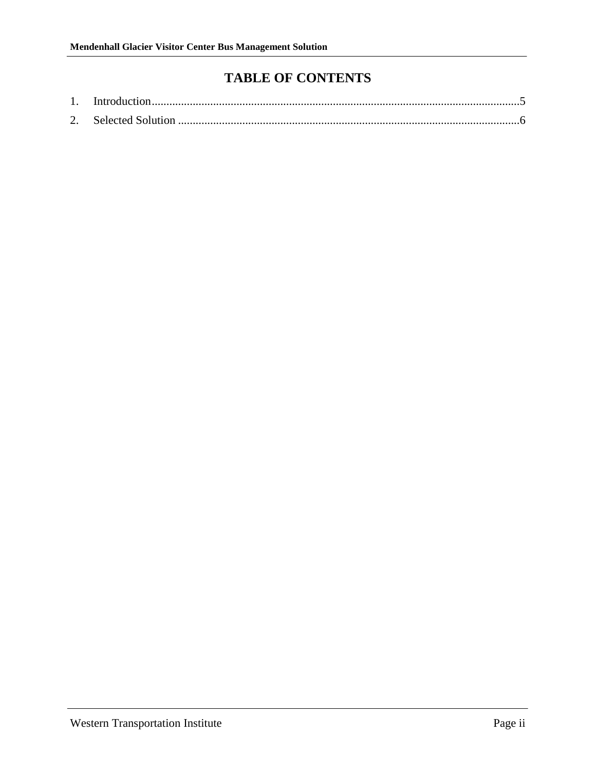# **TABLE OF CONTENTS**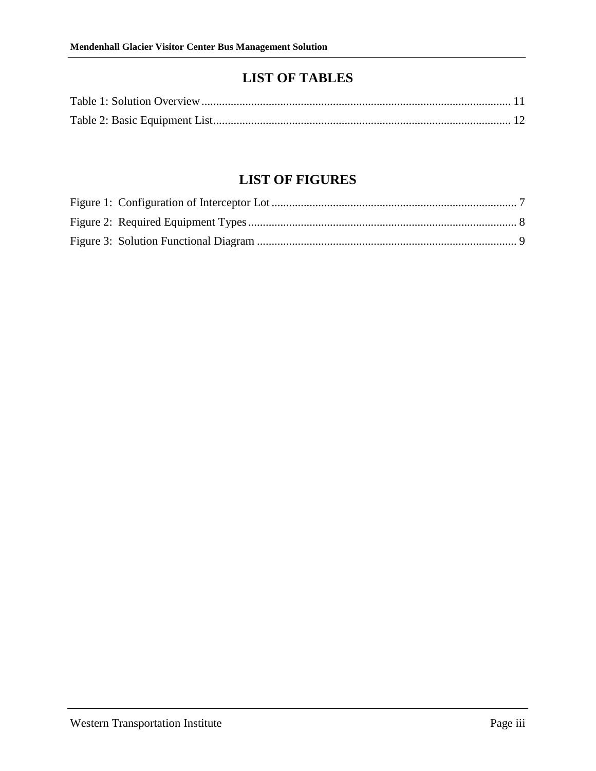### **LIST OF TABLES**

# **LIST OF FIGURES**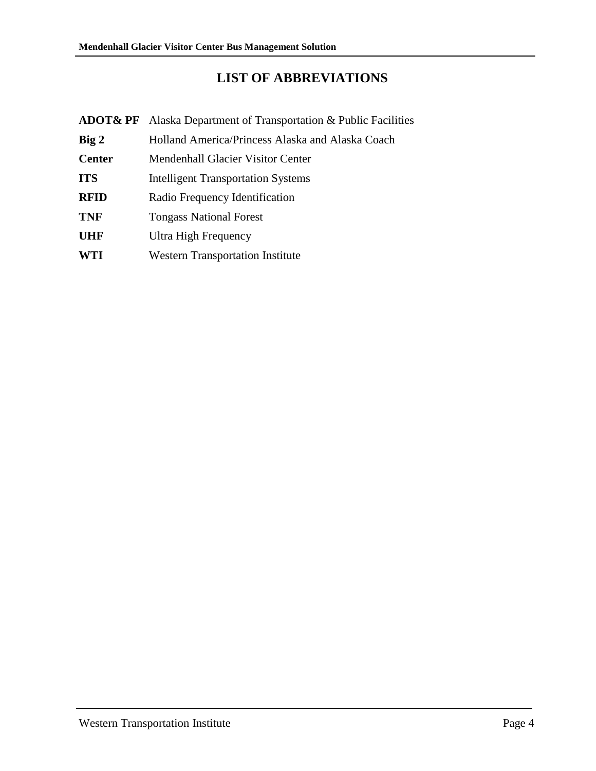# **LIST OF ABBREVIATIONS**

| <b>ADOT&amp; PF</b> | Alaska Department of Transportation & Public Facilities |
|---------------------|---------------------------------------------------------|
| Big 2               | Holland America/Princess Alaska and Alaska Coach        |
| <b>Center</b>       | <b>Mendenhall Glacier Visitor Center</b>                |
| <b>ITS</b>          | <b>Intelligent Transportation Systems</b>               |
| <b>RFID</b>         | Radio Frequency Identification                          |
| <b>TNF</b>          | <b>Tongass National Forest</b>                          |
| <b>UHF</b>          | Ultra High Frequency                                    |
| <b>WTI</b>          | <b>Western Transportation Institute</b>                 |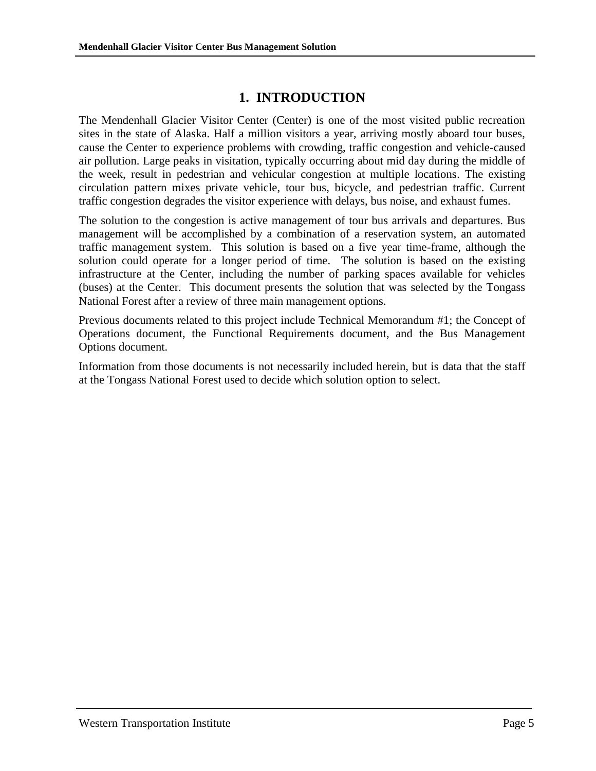### **1. INTRODUCTION**

<span id="page-4-0"></span>The Mendenhall Glacier Visitor Center (Center) is one of the most visited public recreation sites in the state of Alaska. Half a million visitors a year, arriving mostly aboard tour buses, cause the Center to experience problems with crowding, traffic congestion and vehicle-caused air pollution. Large peaks in visitation, typically occurring about mid day during the middle of the week, result in pedestrian and vehicular congestion at multiple locations. The existing circulation pattern mixes private vehicle, tour bus, bicycle, and pedestrian traffic. Current traffic congestion degrades the visitor experience with delays, bus noise, and exhaust fumes.

The solution to the congestion is active management of tour bus arrivals and departures. Bus management will be accomplished by a combination of a reservation system, an automated traffic management system. This solution is based on a five year time-frame, although the solution could operate for a longer period of time. The solution is based on the existing infrastructure at the Center, including the number of parking spaces available for vehicles (buses) at the Center. This document presents the solution that was selected by the Tongass National Forest after a review of three main management options.

Previous documents related to this project include Technical Memorandum #1; the Concept of Operations document, the Functional Requirements document, and the Bus Management Options document.

Information from those documents is not necessarily included herein, but is data that the staff at the Tongass National Forest used to decide which solution option to select.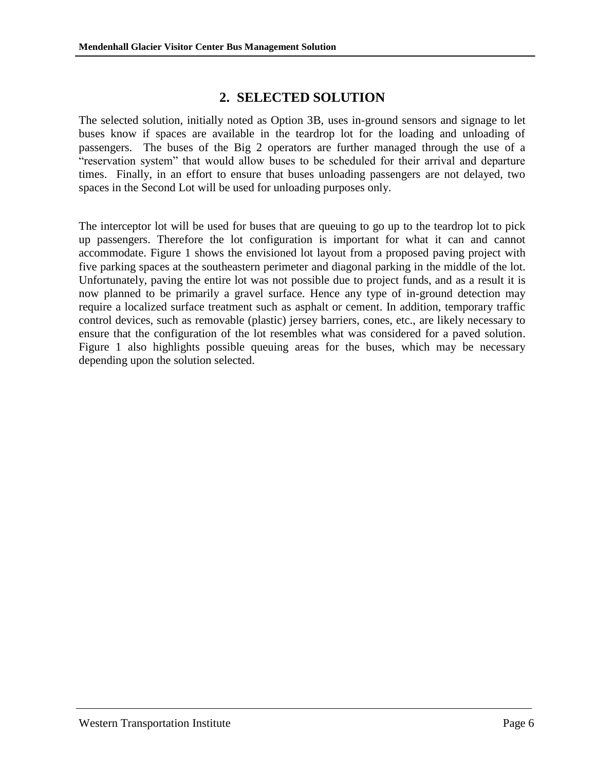#### **2. SELECTED SOLUTION**

<span id="page-5-0"></span>The selected solution, initially noted as Option 3B, uses in-ground sensors and signage to let buses know if spaces are available in the teardrop lot for the loading and unloading of passengers. The buses of the Big 2 operators are further managed through the use of a "reservation system" that would allow buses to be scheduled for their arrival and departure times. Finally, in an effort to ensure that buses unloading passengers are not delayed, two spaces in the Second Lot will be used for unloading purposes only.

The interceptor lot will be used for buses that are queuing to go up to the teardrop lot to pick up passengers. Therefore the lot configuration is important for what it can and cannot accommodate. [Figure 1](#page-6-0) shows the envisioned lot layout from a proposed paving project with five parking spaces at the southeastern perimeter and diagonal parking in the middle of the lot. Unfortunately, paving the entire lot was not possible due to project funds, and as a result it is now planned to be primarily a gravel surface. Hence any type of in-ground detection may require a localized surface treatment such as asphalt or cement. In addition, temporary traffic control devices, such as removable (plastic) jersey barriers, cones, etc., are likely necessary to ensure that the configuration of the lot resembles what was considered for a paved solution. Figure 1 also highlights possible queuing areas for the buses, which may be necessary depending upon the solution selected.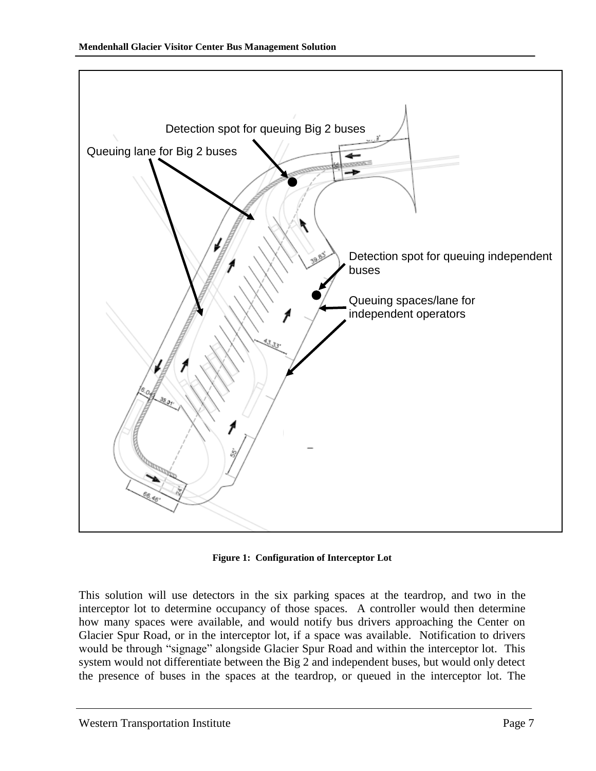

**Figure 1: Configuration of Interceptor Lot**

<span id="page-6-0"></span>This solution will use detectors in the six parking spaces at the teardrop, and two in the interceptor lot to determine occupancy of those spaces. A controller would then determine how many spaces were available, and would notify bus drivers approaching the Center on Glacier Spur Road, or in the interceptor lot, if a space was available. Notification to drivers would be through "signage" alongside Glacier Spur Road and within the interceptor lot. This system would not differentiate between the Big 2 and independent buses, but would only detect the presence of buses in the spaces at the teardrop, or queued in the interceptor lot. The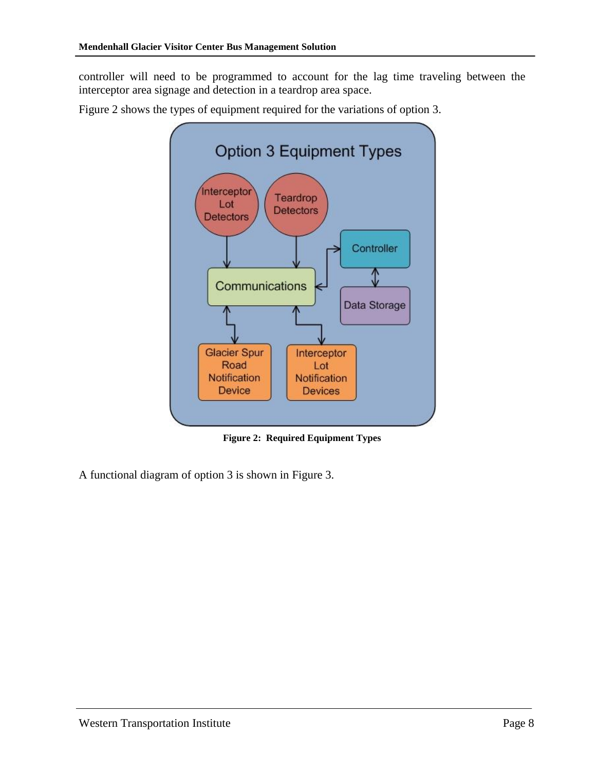controller will need to be programmed to account for the lag time traveling between the interceptor area signage and detection in a teardrop area space.

[Figure 2](#page-7-0) shows the types of equipment required for the variations of option 3.



**Figure 2: Required Equipment Types**

<span id="page-7-0"></span>A functional diagram of option 3 is shown in [Figure 3.](#page-8-0)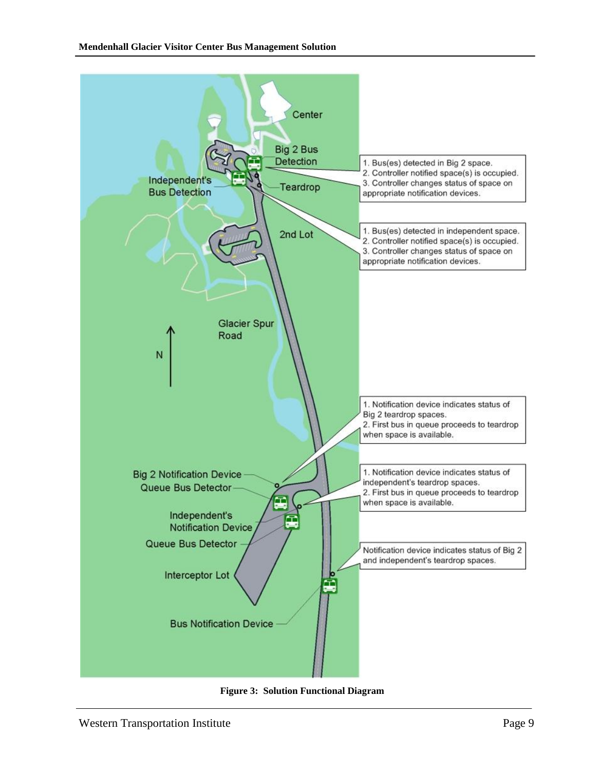

<span id="page-8-0"></span>**Figure 3: Solution Functional Diagram**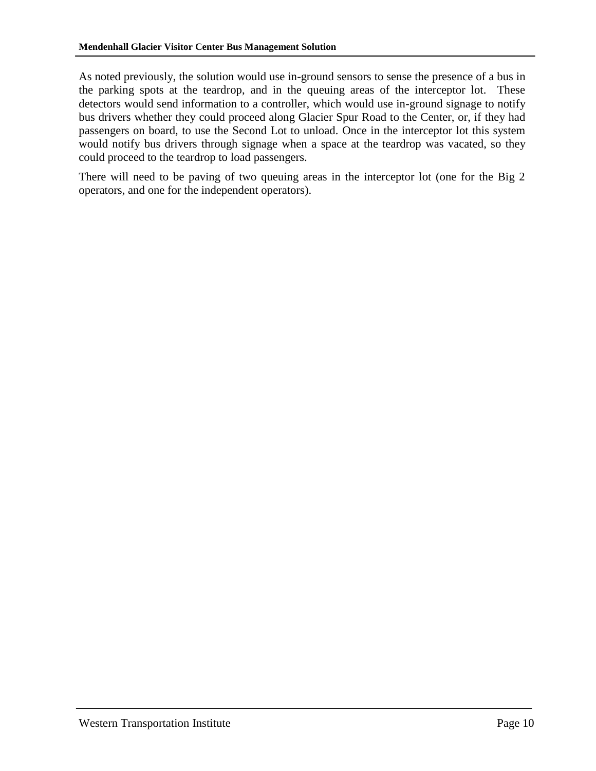As noted previously, the solution would use in-ground sensors to sense the presence of a bus in the parking spots at the teardrop, and in the queuing areas of the interceptor lot. These detectors would send information to a controller, which would use in-ground signage to notify bus drivers whether they could proceed along Glacier Spur Road to the Center, or, if they had passengers on board, to use the Second Lot to unload. Once in the interceptor lot this system would notify bus drivers through signage when a space at the teardrop was vacated, so they could proceed to the teardrop to load passengers.

There will need to be paving of two queuing areas in the interceptor lot (one for the Big 2 operators, and one for the independent operators).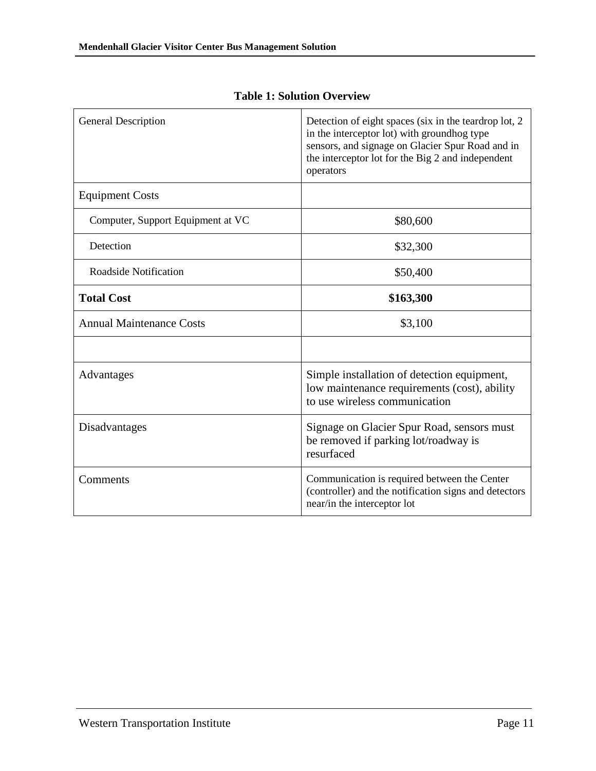<span id="page-10-0"></span>

| <b>General Description</b>        | Detection of eight spaces (six in the teardrop lot, 2)<br>in the interceptor lot) with groundhog type<br>sensors, and signage on Glacier Spur Road and in<br>the interceptor lot for the Big 2 and independent<br>operators |
|-----------------------------------|-----------------------------------------------------------------------------------------------------------------------------------------------------------------------------------------------------------------------------|
| <b>Equipment Costs</b>            |                                                                                                                                                                                                                             |
| Computer, Support Equipment at VC | \$80,600                                                                                                                                                                                                                    |
| Detection                         | \$32,300                                                                                                                                                                                                                    |
| Roadside Notification             | \$50,400                                                                                                                                                                                                                    |
| <b>Total Cost</b>                 | \$163,300                                                                                                                                                                                                                   |
| <b>Annual Maintenance Costs</b>   | \$3,100                                                                                                                                                                                                                     |
|                                   |                                                                                                                                                                                                                             |
| Advantages                        | Simple installation of detection equipment,<br>low maintenance requirements (cost), ability<br>to use wireless communication                                                                                                |
| Disadvantages                     | Signage on Glacier Spur Road, sensors must<br>be removed if parking lot/roadway is<br>resurfaced                                                                                                                            |
| Comments                          | Communication is required between the Center<br>(controller) and the notification signs and detectors<br>near/in the interceptor lot                                                                                        |